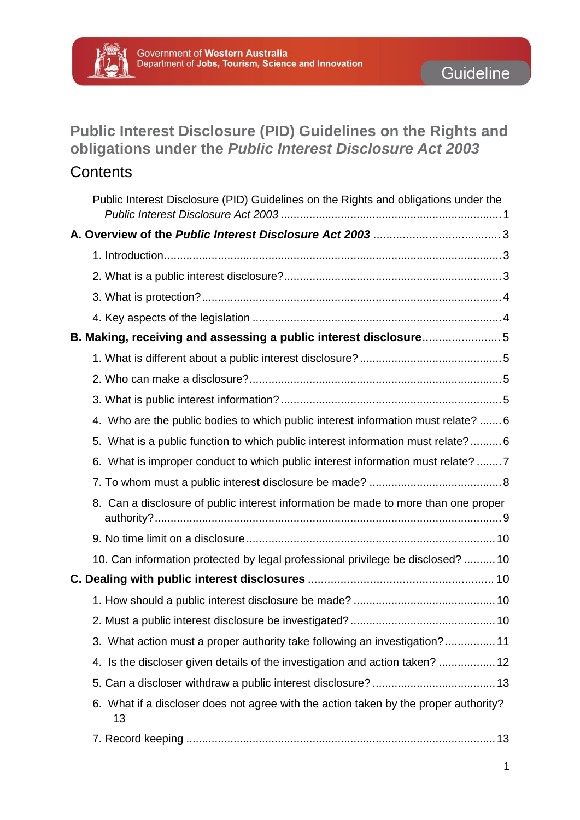

## <span id="page-0-0"></span>**Public Interest Disclosure (PID) Guidelines on the Rights and obligations under the** *Public Interest Disclosure Act 2003*

## **Contents**

| Public Interest Disclosure (PID) Guidelines on the Rights and obligations under the        |  |
|--------------------------------------------------------------------------------------------|--|
|                                                                                            |  |
|                                                                                            |  |
|                                                                                            |  |
|                                                                                            |  |
|                                                                                            |  |
| B. Making, receiving and assessing a public interest disclosure5                           |  |
|                                                                                            |  |
|                                                                                            |  |
|                                                                                            |  |
| 4. Who are the public bodies to which public interest information must relate?  6          |  |
| 5. What is a public function to which public interest information must relate?6            |  |
| 6. What is improper conduct to which public interest information must relate? 7            |  |
|                                                                                            |  |
| 8. Can a disclosure of public interest information be made to more than one proper         |  |
|                                                                                            |  |
| 10. Can information protected by legal professional privilege be disclosed?  10            |  |
|                                                                                            |  |
|                                                                                            |  |
|                                                                                            |  |
| 3. What action must a proper authority take following an investigation? 11                 |  |
| 4. Is the discloser given details of the investigation and action taken?  12               |  |
|                                                                                            |  |
| 6. What if a discloser does not agree with the action taken by the proper authority?<br>13 |  |
|                                                                                            |  |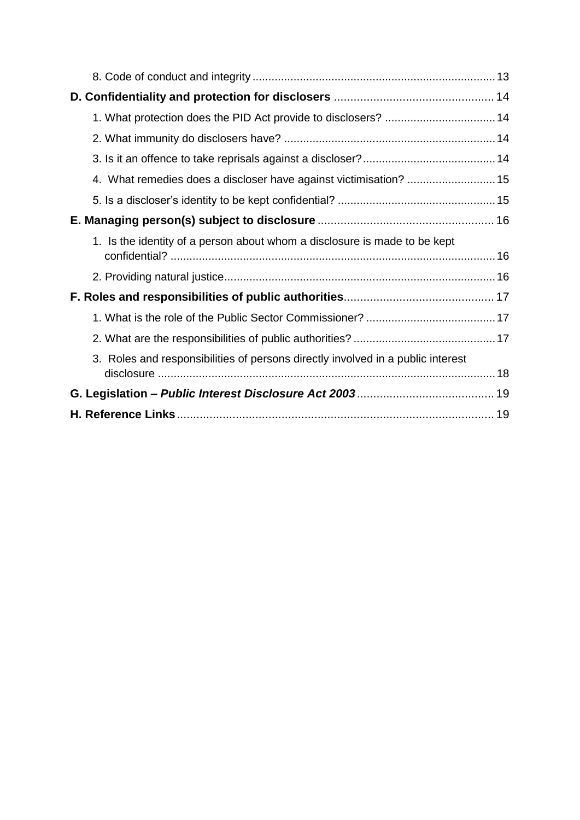| 1. Is the identity of a person about whom a disclosure is made to be kept       |  |  |  |
|---------------------------------------------------------------------------------|--|--|--|
|                                                                                 |  |  |  |
|                                                                                 |  |  |  |
|                                                                                 |  |  |  |
|                                                                                 |  |  |  |
| 3. Roles and responsibilities of persons directly involved in a public interest |  |  |  |
|                                                                                 |  |  |  |
|                                                                                 |  |  |  |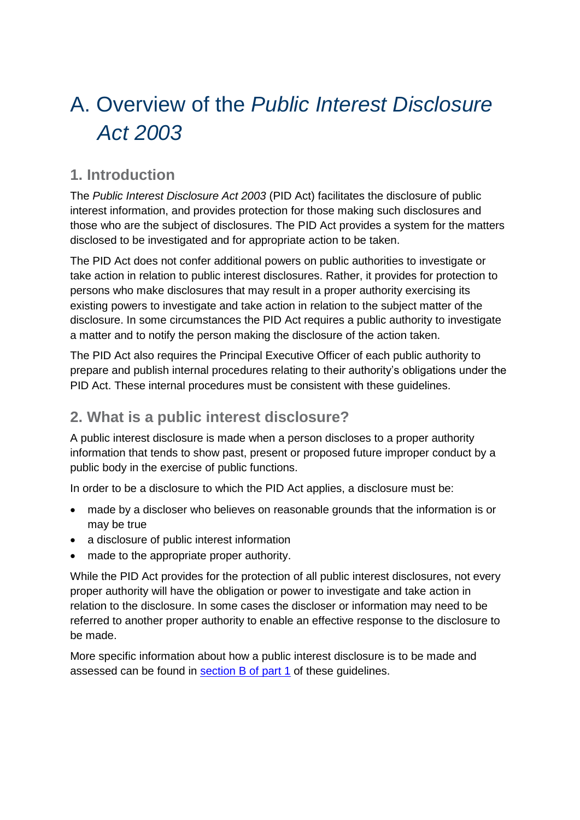# <span id="page-2-0"></span>A. Overview of the *Public Interest Disclosure Act 2003*

## <span id="page-2-1"></span>**1. Introduction**

The *Public Interest Disclosure Act 2003* (PID Act) facilitates the disclosure of public interest information, and provides protection for those making such disclosures and those who are the subject of disclosures. The PID Act provides a system for the matters disclosed to be investigated and for appropriate action to be taken.

The PID Act does not confer additional powers on public authorities to investigate or take action in relation to public interest disclosures. Rather, it provides for protection to persons who make disclosures that may result in a proper authority exercising its existing powers to investigate and take action in relation to the subject matter of the disclosure. In some circumstances the PID Act requires a public authority to investigate a matter and to notify the person making the disclosure of the action taken.

The PID Act also requires the Principal Executive Officer of each public authority to prepare and publish internal procedures relating to their authority's obligations under the PID Act. These internal procedures must be consistent with these guidelines.

## <span id="page-2-2"></span>**2. What is a public interest disclosure?**

A public interest disclosure is made when a person discloses to a proper authority information that tends to show past, present or proposed future improper conduct by a public body in the exercise of public functions.

In order to be a disclosure to which the PID Act applies, a disclosure must be:

- made by a discloser who believes on reasonable grounds that the information is or may be true
- a disclosure of public interest information
- made to the appropriate proper authority.

While the PID Act provides for the protection of all public interest disclosures, not every proper authority will have the obligation or power to investigate and take action in relation to the disclosure. In some cases the discloser or information may need to be referred to another proper authority to enable an effective response to the disclosure to be made.

More specific information about how a public interest disclosure is to be made and assessed can be found in section B of part 1 of these guidelines.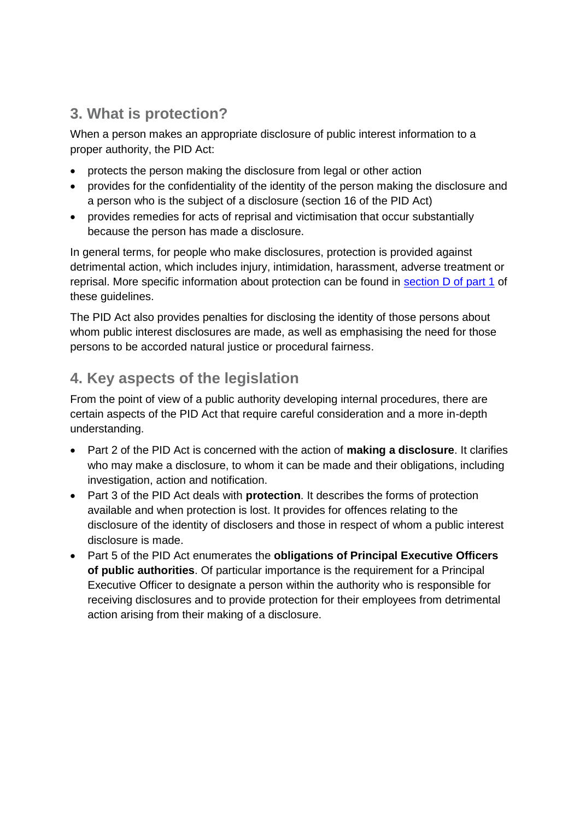## <span id="page-3-0"></span>**3. What is protection?**

When a person makes an appropriate disclosure of public interest information to a proper authority, the PID Act:

- protects the person making the disclosure from legal or other action
- provides for the confidentiality of the identity of the person making the disclosure and a person who is the subject of a disclosure (section 16 of the PID Act)
- provides remedies for acts of reprisal and victimisation that occur substantially because the person has made a disclosure.

In general terms, for people who make disclosures, protection is provided against detrimental action, which includes injury, intimidation, harassment, adverse treatment or reprisal. More specific information about protection can be found in section D of part 1 of these quidelines.

The PID Act also provides penalties for disclosing the identity of those persons about whom public interest disclosures are made, as well as emphasising the need for those persons to be accorded natural justice or procedural fairness.

## <span id="page-3-1"></span>**4. Key aspects of the legislation**

From the point of view of a public authority developing internal procedures, there are certain aspects of the PID Act that require careful consideration and a more in-depth understanding.

- Part 2 of the PID Act is concerned with the action of **making a disclosure**. It clarifies who may make a disclosure, to whom it can be made and their obligations, including investigation, action and notification.
- Part 3 of the PID Act deals with **protection**. It describes the forms of protection available and when protection is lost. It provides for offences relating to the disclosure of the identity of disclosers and those in respect of whom a public interest disclosure is made.
- Part 5 of the PID Act enumerates the **obligations of Principal Executive Officers of public authorities**. Of particular importance is the requirement for a Principal Executive Officer to designate a person within the authority who is responsible for receiving disclosures and to provide protection for their employees from detrimental action arising from their making of a disclosure.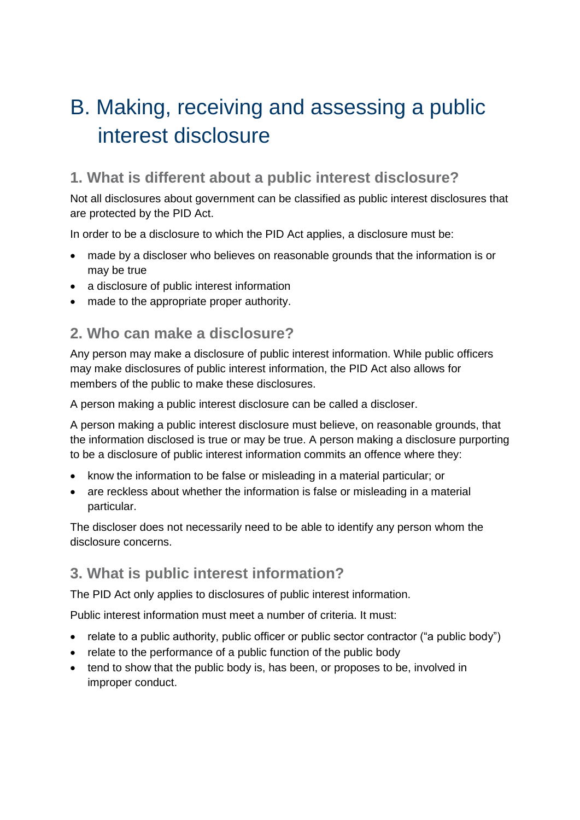## <span id="page-4-0"></span>B. Making, receiving and assessing a public interest disclosure

## <span id="page-4-1"></span>**1. What is different about a public interest disclosure?**

Not all disclosures about government can be classified as public interest disclosures that are protected by the PID Act.

In order to be a disclosure to which the PID Act applies, a disclosure must be:

- made by a discloser who believes on reasonable grounds that the information is or may be true
- a disclosure of public interest information
- made to the appropriate proper authority.

## <span id="page-4-2"></span>**2. Who can make a disclosure?**

Any person may make a disclosure of public interest information. While public officers may make disclosures of public interest information, the PID Act also allows for members of the public to make these disclosures.

A person making a public interest disclosure can be called a discloser.

A person making a public interest disclosure must believe, on reasonable grounds, that the information disclosed is true or may be true. A person making a disclosure purporting to be a disclosure of public interest information commits an offence where they:

- know the information to be false or misleading in a material particular; or
- are reckless about whether the information is false or misleading in a material particular.

The discloser does not necessarily need to be able to identify any person whom the disclosure concerns.

## <span id="page-4-3"></span>**3. What is public interest information?**

The PID Act only applies to disclosures of public interest information.

Public interest information must meet a number of criteria. It must:

- relate to a public authority, public officer or public sector contractor ("a public body")
- relate to the performance of a public function of the public body
- tend to show that the public body is, has been, or proposes to be, involved in improper conduct.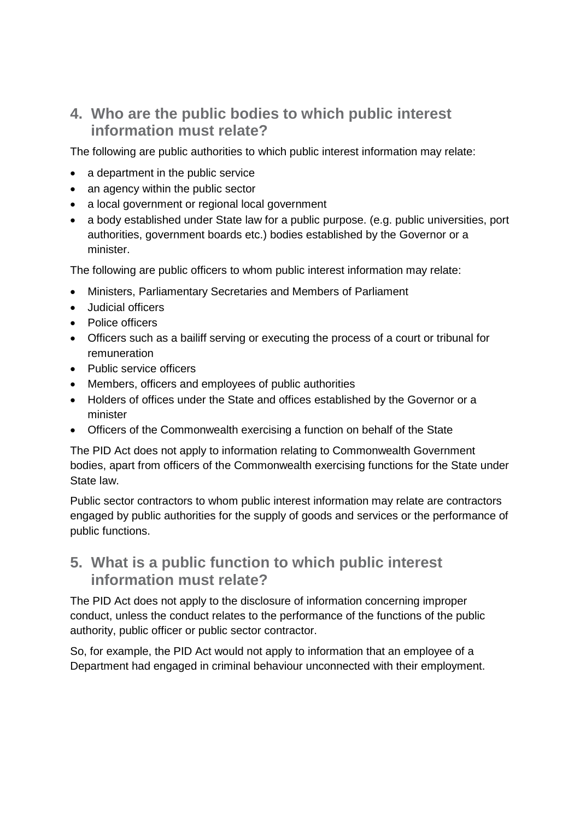## <span id="page-5-0"></span>**4. Who are the public bodies to which public interest information must relate?**

The following are public authorities to which public interest information may relate:

- a department in the public service
- an agency within the public sector
- a local government or regional local government
- a body established under State law for a public purpose, (e.g. public universities, port authorities, government boards etc.) bodies established by the Governor or a minister.

The following are public officers to whom public interest information may relate:

- Ministers, Parliamentary Secretaries and Members of Parliament
- Judicial officers
- Police officers
- Officers such as a bailiff serving or executing the process of a court or tribunal for remuneration
- Public service officers
- Members, officers and employees of public authorities
- Holders of offices under the State and offices established by the Governor or a minister
- Officers of the Commonwealth exercising a function on behalf of the State

The PID Act does not apply to information relating to Commonwealth Government bodies, apart from officers of the Commonwealth exercising functions for the State under State law.

Public sector contractors to whom public interest information may relate are contractors engaged by public authorities for the supply of goods and services or the performance of public functions.

### <span id="page-5-1"></span>**5. What is a public function to which public interest information must relate?**

The PID Act does not apply to the disclosure of information concerning improper conduct, unless the conduct relates to the performance of the functions of the public authority, public officer or public sector contractor.

So, for example, the PID Act would not apply to information that an employee of a Department had engaged in criminal behaviour unconnected with their employment.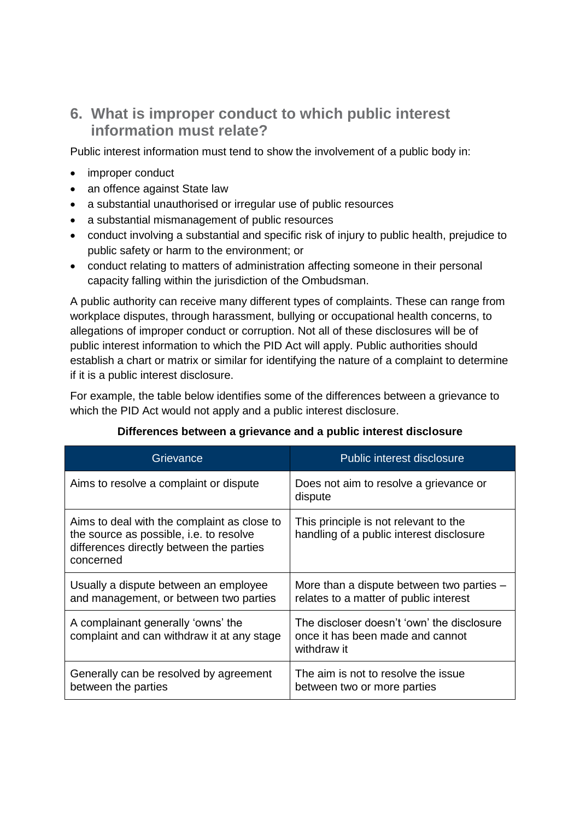## <span id="page-6-0"></span>**6. What is improper conduct to which public interest information must relate?**

Public interest information must tend to show the involvement of a public body in:

- improper conduct
- an offence against State law
- a substantial unauthorised or irregular use of public resources
- a substantial mismanagement of public resources
- conduct involving a substantial and specific risk of injury to public health, prejudice to public safety or harm to the environment; or
- conduct relating to matters of administration affecting someone in their personal capacity falling within the jurisdiction of the Ombudsman.

A public authority can receive many different types of complaints. These can range from workplace disputes, through harassment, bullying or occupational health concerns, to allegations of improper conduct or corruption. Not all of these disclosures will be of public interest information to which the PID Act will apply. Public authorities should establish a chart or matrix or similar for identifying the nature of a complaint to determine if it is a public interest disclosure.

For example, the table below identifies some of the differences between a grievance to which the PID Act would not apply and a public interest disclosure.

| Grievance                                                                                                                                       | Public interest disclosure                                                                    |
|-------------------------------------------------------------------------------------------------------------------------------------------------|-----------------------------------------------------------------------------------------------|
| Aims to resolve a complaint or dispute                                                                                                          | Does not aim to resolve a grievance or<br>dispute                                             |
| Aims to deal with the complaint as close to<br>the source as possible, i.e. to resolve<br>differences directly between the parties<br>concerned | This principle is not relevant to the<br>handling of a public interest disclosure             |
| Usually a dispute between an employee<br>and management, or between two parties                                                                 | More than a dispute between two parties -<br>relates to a matter of public interest           |
| A complainant generally 'owns' the<br>complaint and can withdraw it at any stage                                                                | The discloser doesn't 'own' the disclosure<br>once it has been made and cannot<br>withdraw it |
| Generally can be resolved by agreement<br>between the parties                                                                                   | The aim is not to resolve the issue<br>between two or more parties                            |

#### **Differences between a grievance and a public interest disclosure**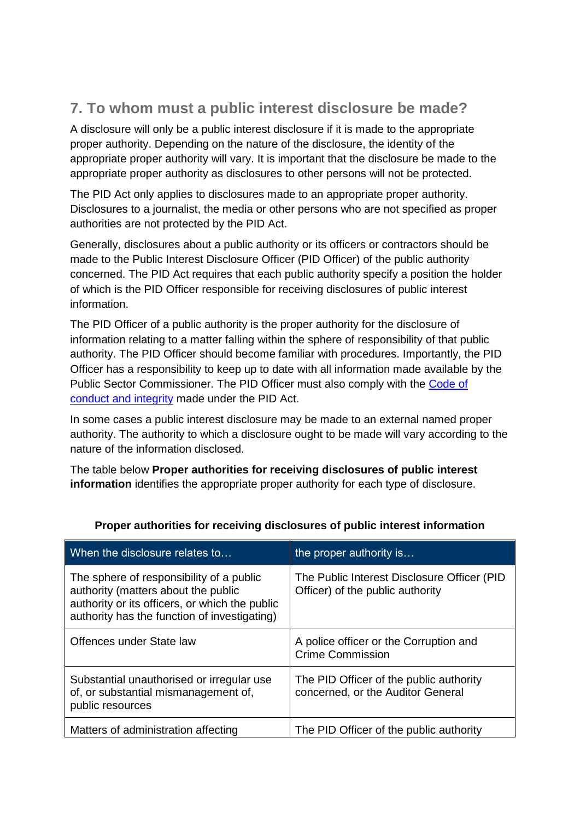## <span id="page-7-0"></span>**7. To whom must a public interest disclosure be made?**

A disclosure will only be a public interest disclosure if it is made to the appropriate proper authority. Depending on the nature of the disclosure, the identity of the appropriate proper authority will vary. It is important that the disclosure be made to the appropriate proper authority as disclosures to other persons will not be protected.

The PID Act only applies to disclosures made to an appropriate proper authority. Disclosures to a journalist, the media or other persons who are not specified as proper authorities are not protected by the PID Act.

Generally, disclosures about a public authority or its officers or contractors should be made to the Public Interest Disclosure Officer (PID Officer) of the public authority concerned. The PID Act requires that each public authority specify a position the holder of which is the PID Officer responsible for receiving disclosures of public interest information.

The PID Officer of a public authority is the proper authority for the disclosure of information relating to a matter falling within the sphere of responsibility of that public authority. The PID Officer should become familiar with procedures. Importantly, the PID Officer has a responsibility to keep up to date with all information made available by the Public Sector Commissioner. The PID Officer must also comply with the Code of conduct and integrity made under the PID Act.

In some cases a public interest disclosure may be made to an external named proper authority. The authority to which a disclosure ought to be made will vary according to the nature of the information disclosed.

The table below **Proper authorities for receiving disclosures of public interest information** identifies the appropriate proper authority for each type of disclosure.

| When the disclosure relates to                                                                                                                                                    | the proper authority is                                                          |
|-----------------------------------------------------------------------------------------------------------------------------------------------------------------------------------|----------------------------------------------------------------------------------|
| The sphere of responsibility of a public<br>authority (matters about the public<br>authority or its officers, or which the public<br>authority has the function of investigating) | The Public Interest Disclosure Officer (PID)<br>Officer) of the public authority |
| Offences under State law                                                                                                                                                          | A police officer or the Corruption and<br><b>Crime Commission</b>                |
| Substantial unauthorised or irregular use<br>of, or substantial mismanagement of,<br>public resources                                                                             | The PID Officer of the public authority<br>concerned, or the Auditor General     |
| Matters of administration affecting                                                                                                                                               | The PID Officer of the public authority                                          |

#### **Proper authorities for receiving disclosures of public interest information**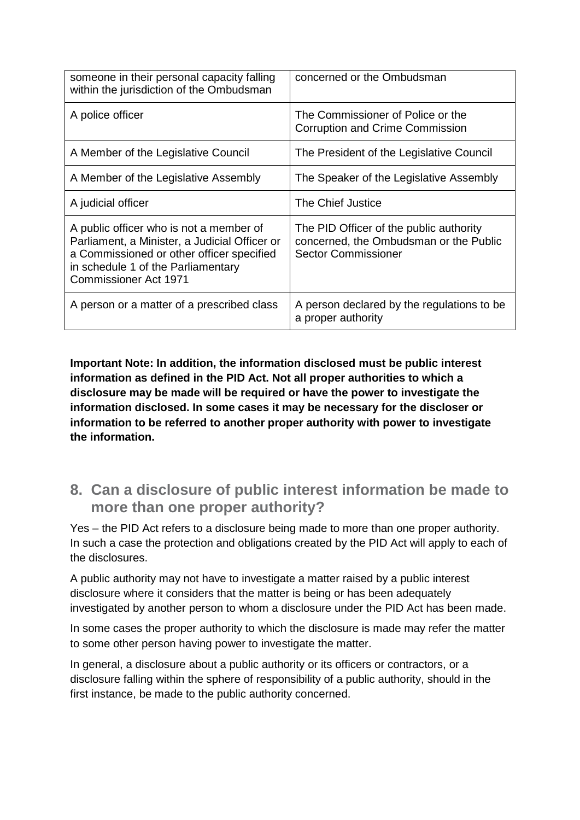| someone in their personal capacity falling<br>within the jurisdiction of the Ombudsman                                                                                                                      | concerned or the Ombudsman                                                                                      |
|-------------------------------------------------------------------------------------------------------------------------------------------------------------------------------------------------------------|-----------------------------------------------------------------------------------------------------------------|
| A police officer                                                                                                                                                                                            | The Commissioner of Police or the<br><b>Corruption and Crime Commission</b>                                     |
| A Member of the Legislative Council                                                                                                                                                                         | The President of the Legislative Council                                                                        |
| A Member of the Legislative Assembly                                                                                                                                                                        | The Speaker of the Legislative Assembly                                                                         |
| A judicial officer                                                                                                                                                                                          | The Chief Justice                                                                                               |
| A public officer who is not a member of<br>Parliament, a Minister, a Judicial Officer or<br>a Commissioned or other officer specified<br>in schedule 1 of the Parliamentary<br><b>Commissioner Act 1971</b> | The PID Officer of the public authority<br>concerned, the Ombudsman or the Public<br><b>Sector Commissioner</b> |
| A person or a matter of a prescribed class                                                                                                                                                                  | A person declared by the regulations to be<br>a proper authority                                                |

**Important Note: In addition, the information disclosed must be public interest information as defined in the PID Act. Not all proper authorities to which a disclosure may be made will be required or have the power to investigate the information disclosed. In some cases it may be necessary for the discloser or information to be referred to another proper authority with power to investigate the information.**

<span id="page-8-0"></span>**8. Can a disclosure of public interest information be made to more than one proper authority?** 

Yes – the PID Act refers to a disclosure being made to more than one proper authority. In such a case the protection and obligations created by the PID Act will apply to each of the disclosures.

A public authority may not have to investigate a matter raised by a public interest disclosure where it considers that the matter is being or has been adequately investigated by another person to whom a disclosure under the PID Act has been made.

In some cases the proper authority to which the disclosure is made may refer the matter to some other person having power to investigate the matter.

In general, a disclosure about a public authority or its officers or contractors, or a disclosure falling within the sphere of responsibility of a public authority, should in the first instance, be made to the public authority concerned.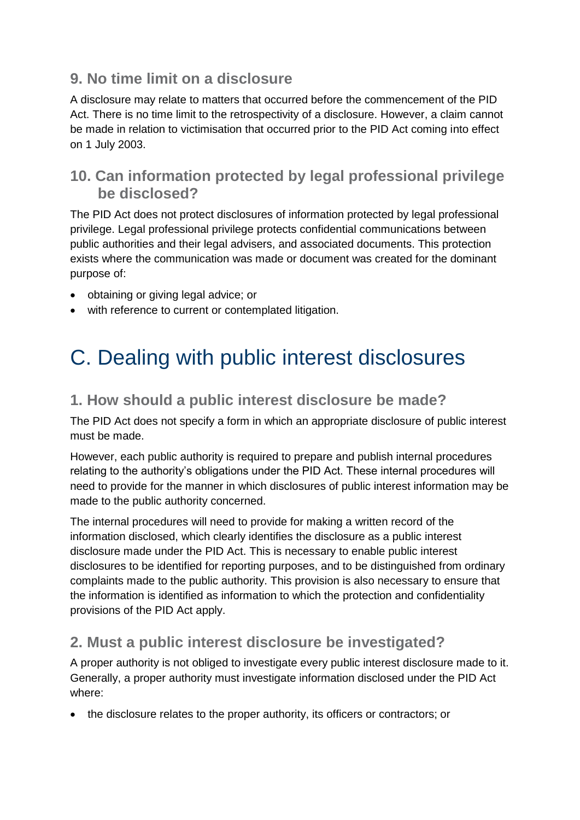## <span id="page-9-0"></span>**9. No time limit on a disclosure**

A disclosure may relate to matters that occurred before the commencement of the PID Act. There is no time limit to the retrospectivity of a disclosure. However, a claim cannot be made in relation to victimisation that occurred prior to the PID Act coming into effect on 1 July 2003.

## <span id="page-9-1"></span>**10. Can information protected by legal professional privilege be disclosed?**

The PID Act does not protect disclosures of information protected by legal professional privilege. Legal professional privilege protects confidential communications between public authorities and their legal advisers, and associated documents. This protection exists where the communication was made or document was created for the dominant purpose of:

- obtaining or giving legal advice; or
- with reference to current or contemplated litigation.

# <span id="page-9-2"></span>C. Dealing with public interest disclosures

## <span id="page-9-3"></span>**1. How should a public interest disclosure be made?**

The PID Act does not specify a form in which an appropriate disclosure of public interest must be made.

However, each public authority is required to prepare and publish internal procedures relating to the authority's obligations under the PID Act. These internal procedures will need to provide for the manner in which disclosures of public interest information may be made to the public authority concerned.

The internal procedures will need to provide for making a written record of the information disclosed, which clearly identifies the disclosure as a public interest disclosure made under the PID Act. This is necessary to enable public interest disclosures to be identified for reporting purposes, and to be distinguished from ordinary complaints made to the public authority. This provision is also necessary to ensure that the information is identified as information to which the protection and confidentiality provisions of the PID Act apply.

## <span id="page-9-4"></span>**2. Must a public interest disclosure be investigated?**

A proper authority is not obliged to investigate every public interest disclosure made to it. Generally, a proper authority must investigate information disclosed under the PID Act where:

the disclosure relates to the proper authority, its officers or contractors; or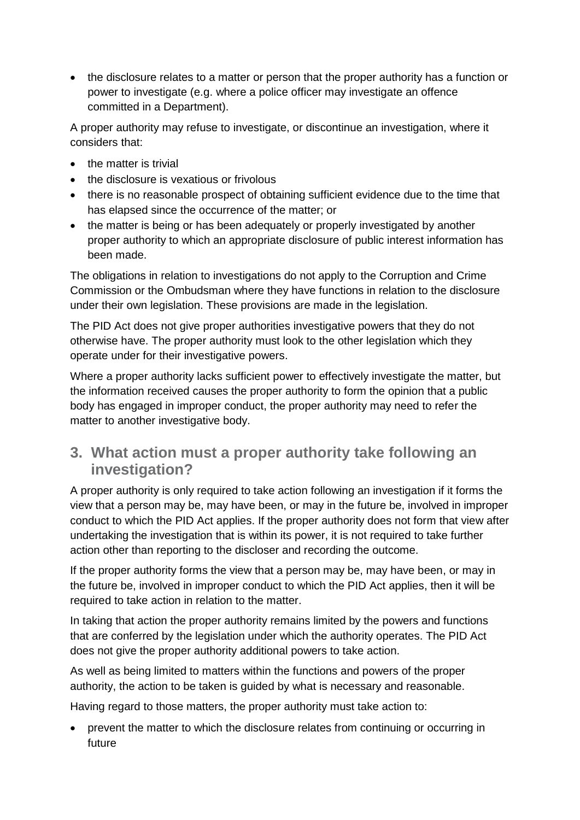• the disclosure relates to a matter or person that the proper authority has a function or power to investigate (e.g. where a police officer may investigate an offence committed in a Department).

A proper authority may refuse to investigate, or discontinue an investigation, where it considers that:

- the matter is trivial
- the disclosure is vexatious or frivolous
- there is no reasonable prospect of obtaining sufficient evidence due to the time that has elapsed since the occurrence of the matter; or
- the matter is being or has been adequately or properly investigated by another proper authority to which an appropriate disclosure of public interest information has been made.

The obligations in relation to investigations do not apply to the Corruption and Crime Commission or the Ombudsman where they have functions in relation to the disclosure under their own legislation. These provisions are made in the legislation.

The PID Act does not give proper authorities investigative powers that they do not otherwise have. The proper authority must look to the other legislation which they operate under for their investigative powers.

Where a proper authority lacks sufficient power to effectively investigate the matter, but the information received causes the proper authority to form the opinion that a public body has engaged in improper conduct, the proper authority may need to refer the matter to another investigative body.

### <span id="page-10-0"></span>**3. What action must a proper authority take following an investigation?**

A proper authority is only required to take action following an investigation if it forms the view that a person may be, may have been, or may in the future be, involved in improper conduct to which the PID Act applies. If the proper authority does not form that view after undertaking the investigation that is within its power, it is not required to take further action other than reporting to the discloser and recording the outcome.

If the proper authority forms the view that a person may be, may have been, or may in the future be, involved in improper conduct to which the PID Act applies, then it will be required to take action in relation to the matter.

In taking that action the proper authority remains limited by the powers and functions that are conferred by the legislation under which the authority operates. The PID Act does not give the proper authority additional powers to take action.

As well as being limited to matters within the functions and powers of the proper authority, the action to be taken is guided by what is necessary and reasonable.

Having regard to those matters, the proper authority must take action to:

 prevent the matter to which the disclosure relates from continuing or occurring in future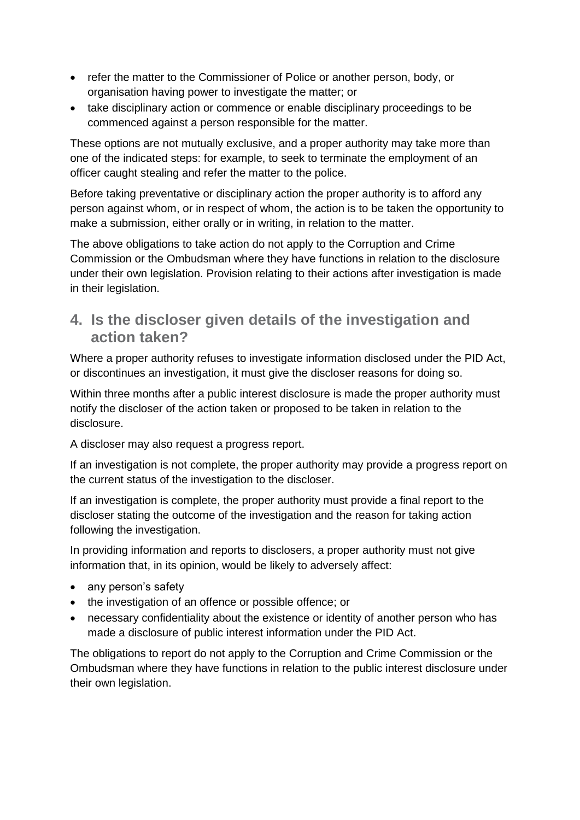- refer the matter to the Commissioner of Police or another person, body, or organisation having power to investigate the matter; or
- take disciplinary action or commence or enable disciplinary proceedings to be commenced against a person responsible for the matter.

These options are not mutually exclusive, and a proper authority may take more than one of the indicated steps: for example, to seek to terminate the employment of an officer caught stealing and refer the matter to the police.

Before taking preventative or disciplinary action the proper authority is to afford any person against whom, or in respect of whom, the action is to be taken the opportunity to make a submission, either orally or in writing, in relation to the matter.

The above obligations to take action do not apply to the Corruption and Crime Commission or the Ombudsman where they have functions in relation to the disclosure under their own legislation. Provision relating to their actions after investigation is made in their legislation.

### <span id="page-11-0"></span>**4. Is the discloser given details of the investigation and action taken?**

Where a proper authority refuses to investigate information disclosed under the PID Act, or discontinues an investigation, it must give the discloser reasons for doing so.

Within three months after a public interest disclosure is made the proper authority must notify the discloser of the action taken or proposed to be taken in relation to the disclosure.

A discloser may also request a progress report.

If an investigation is not complete, the proper authority may provide a progress report on the current status of the investigation to the discloser.

If an investigation is complete, the proper authority must provide a final report to the discloser stating the outcome of the investigation and the reason for taking action following the investigation.

In providing information and reports to disclosers, a proper authority must not give information that, in its opinion, would be likely to adversely affect:

- any person's safety
- the investigation of an offence or possible offence; or
- necessary confidentiality about the existence or identity of another person who has made a disclosure of public interest information under the PID Act.

The obligations to report do not apply to the Corruption and Crime Commission or the Ombudsman where they have functions in relation to the public interest disclosure under their own legislation.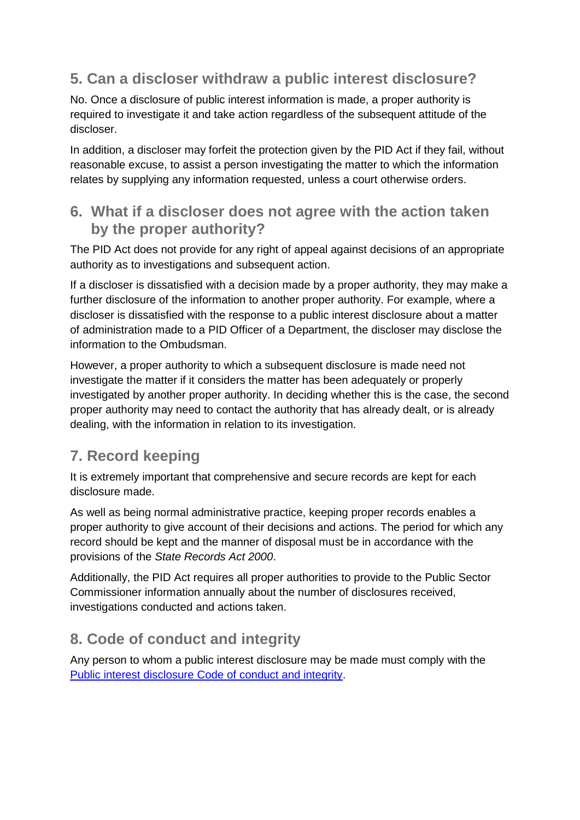## <span id="page-12-0"></span>**5. Can a discloser withdraw a public interest disclosure?**

No. Once a disclosure of public interest information is made, a proper authority is required to investigate it and take action regardless of the subsequent attitude of the discloser.

In addition, a discloser may forfeit the protection given by the PID Act if they fail, without reasonable excuse, to assist a person investigating the matter to which the information relates by supplying any information requested, unless a court otherwise orders.

### <span id="page-12-1"></span>**6. What if a discloser does not agree with the action taken by the proper authority?**

The PID Act does not provide for any right of appeal against decisions of an appropriate authority as to investigations and subsequent action.

If a discloser is dissatisfied with a decision made by a proper authority, they may make a further disclosure of the information to another proper authority. For example, where a discloser is dissatisfied with the response to a public interest disclosure about a matter of administration made to a PID Officer of a Department, the discloser may disclose the information to the Ombudsman.

However, a proper authority to which a subsequent disclosure is made need not investigate the matter if it considers the matter has been adequately or properly investigated by another proper authority. In deciding whether this is the case, the second proper authority may need to contact the authority that has already dealt, or is already dealing, with the information in relation to its investigation.

## <span id="page-12-2"></span>**7. Record keeping**

It is extremely important that comprehensive and secure records are kept for each disclosure made.

As well as being normal administrative practice, keeping proper records enables a proper authority to give account of their decisions and actions. The period for which any record should be kept and the manner of disposal must be in accordance with the provisions of the *State Records Act 2000*.

Additionally, the PID Act requires all proper authorities to provide to the Public Sector Commissioner information annually about the number of disclosures received, investigations conducted and actions taken.

## <span id="page-12-3"></span>**8. Code of conduct and integrity**

Any person to whom a public interest disclosure may be made must comply with the Public interest disclosure Code of conduct and integrity.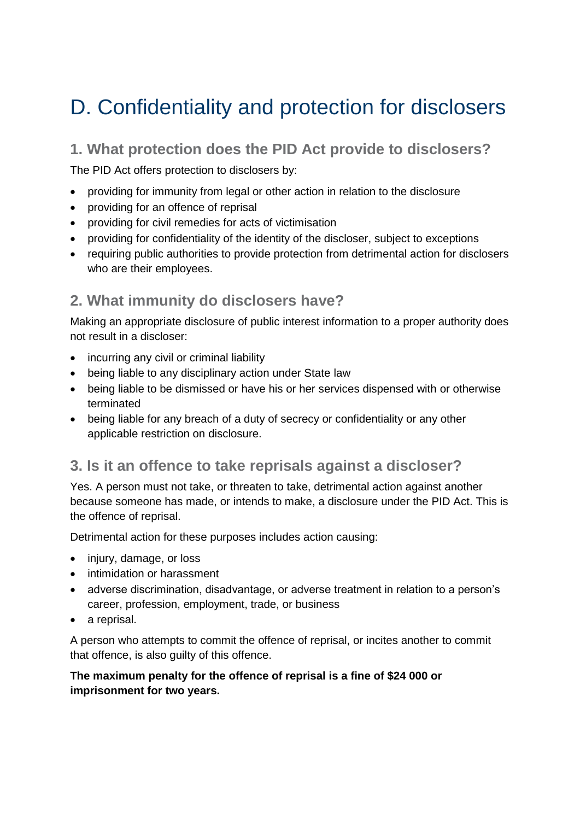## <span id="page-13-0"></span>D. Confidentiality and protection for disclosers

## <span id="page-13-1"></span>**1. What protection does the PID Act provide to disclosers?**

The PID Act offers protection to disclosers by:

- providing for immunity from legal or other action in relation to the disclosure
- providing for an offence of reprisal
- providing for civil remedies for acts of victimisation
- providing for confidentiality of the identity of the discloser, subject to exceptions
- requiring public authorities to provide protection from detrimental action for disclosers who are their employees.

## <span id="page-13-2"></span>**2. What immunity do disclosers have?**

Making an appropriate disclosure of public interest information to a proper authority does not result in a discloser:

- incurring any civil or criminal liability
- being liable to any disciplinary action under State law
- being liable to be dismissed or have his or her services dispensed with or otherwise terminated
- being liable for any breach of a duty of secrecy or confidentiality or any other applicable restriction on disclosure.

### <span id="page-13-3"></span>**3. Is it an offence to take reprisals against a discloser?**

Yes. A person must not take, or threaten to take, detrimental action against another because someone has made, or intends to make, a disclosure under the PID Act. This is the offence of reprisal.

Detrimental action for these purposes includes action causing:

- injury, damage, or loss
- intimidation or harassment
- adverse discrimination, disadvantage, or adverse treatment in relation to a person's career, profession, employment, trade, or business
- a reprisal.

A person who attempts to commit the offence of reprisal, or incites another to commit that offence, is also guilty of this offence.

#### **The maximum penalty for the offence of reprisal is a fine of \$24 000 or imprisonment for two years.**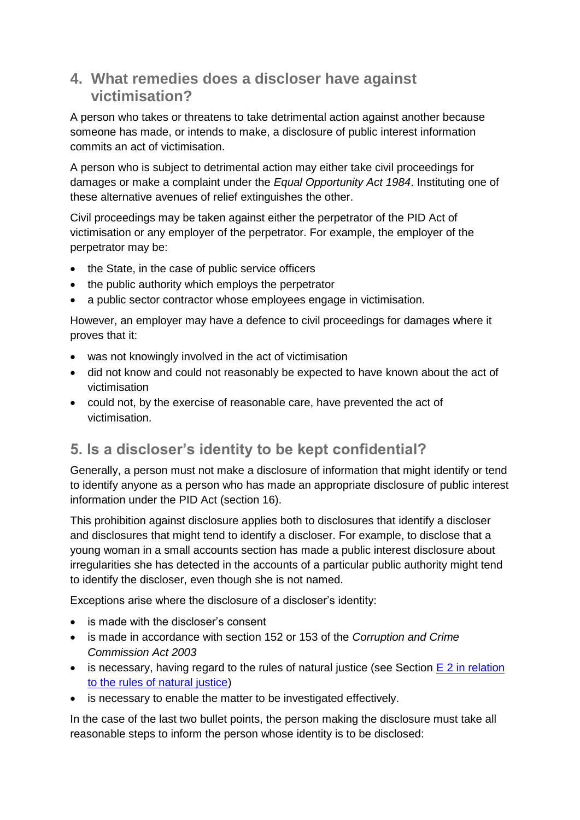## <span id="page-14-0"></span>**4. What remedies does a discloser have against victimisation?**

A person who takes or threatens to take detrimental action against another because someone has made, or intends to make, a disclosure of public interest information commits an act of victimisation.

A person who is subject to detrimental action may either take civil proceedings for damages or make a complaint under the *Equal Opportunity Act 1984*. Instituting one of these alternative avenues of relief extinguishes the other.

Civil proceedings may be taken against either the perpetrator of the PID Act of victimisation or any employer of the perpetrator. For example, the employer of the perpetrator may be:

- the State, in the case of public service officers
- the public authority which employs the perpetrator
- a public sector contractor whose employees engage in victimisation.

However, an employer may have a defence to civil proceedings for damages where it proves that it:

- was not knowingly involved in the act of victimisation
- did not know and could not reasonably be expected to have known about the act of victimisation
- could not, by the exercise of reasonable care, have prevented the act of victimisation.

## <span id="page-14-1"></span>**5. Is a discloser's identity to be kept confidential?**

Generally, a person must not make a disclosure of information that might identify or tend to identify anyone as a person who has made an appropriate disclosure of public interest information under the PID Act (section 16).

This prohibition against disclosure applies both to disclosures that identify a discloser and disclosures that might tend to identify a discloser. For example, to disclose that a young woman in a small accounts section has made a public interest disclosure about irregularities she has detected in the accounts of a particular public authority might tend to identify the discloser, even though she is not named.

Exceptions arise where the disclosure of a discloser's identity:

- is made with the discloser's consent
- is made in accordance with section 152 or 153 of the *Corruption and Crime Commission Act 2003*
- is necessary, having regard to the rules of natural justice (see Section E 2 in relation to the rules of natural justice)
- is necessary to enable the matter to be investigated effectively.

In the case of the last two bullet points, the person making the disclosure must take all reasonable steps to inform the person whose identity is to be disclosed: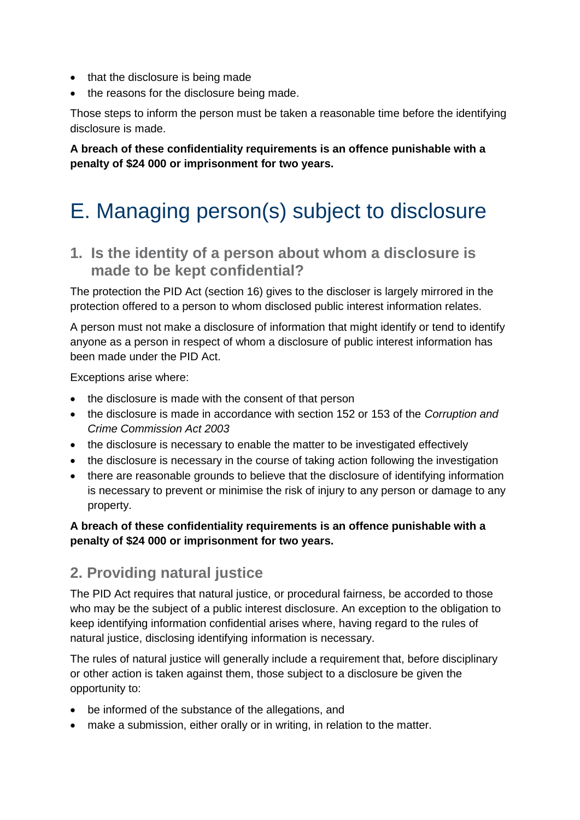- that the disclosure is being made
- the reasons for the disclosure being made.

Those steps to inform the person must be taken a reasonable time before the identifying disclosure is made.

**A breach of these confidentiality requirements is an offence punishable with a penalty of \$24 000 or imprisonment for two years.**

# <span id="page-15-0"></span>E. Managing person(s) subject to disclosure

<span id="page-15-1"></span>**1. Is the identity of a person about whom a disclosure is made to be kept confidential?** 

The protection the PID Act (section 16) gives to the discloser is largely mirrored in the protection offered to a person to whom disclosed public interest information relates.

A person must not make a disclosure of information that might identify or tend to identify anyone as a person in respect of whom a disclosure of public interest information has been made under the PID Act.

Exceptions arise where:

- the disclosure is made with the consent of that person
- the disclosure is made in accordance with section 152 or 153 of the *Corruption and Crime Commission Act 2003*
- the disclosure is necessary to enable the matter to be investigated effectively
- the disclosure is necessary in the course of taking action following the investigation
- there are reasonable grounds to believe that the disclosure of identifying information is necessary to prevent or minimise the risk of injury to any person or damage to any property.

#### **A breach of these confidentiality requirements is an offence punishable with a penalty of \$24 000 or imprisonment for two years.**

### <span id="page-15-2"></span>**2. Providing natural justice**

The PID Act requires that natural justice, or procedural fairness, be accorded to those who may be the subject of a public interest disclosure. An exception to the obligation to keep identifying information confidential arises where, having regard to the rules of natural justice, disclosing identifying information is necessary.

The rules of natural justice will generally include a requirement that, before disciplinary or other action is taken against them, those subject to a disclosure be given the opportunity to:

- be informed of the substance of the allegations, and
- make a submission, either orally or in writing, in relation to the matter.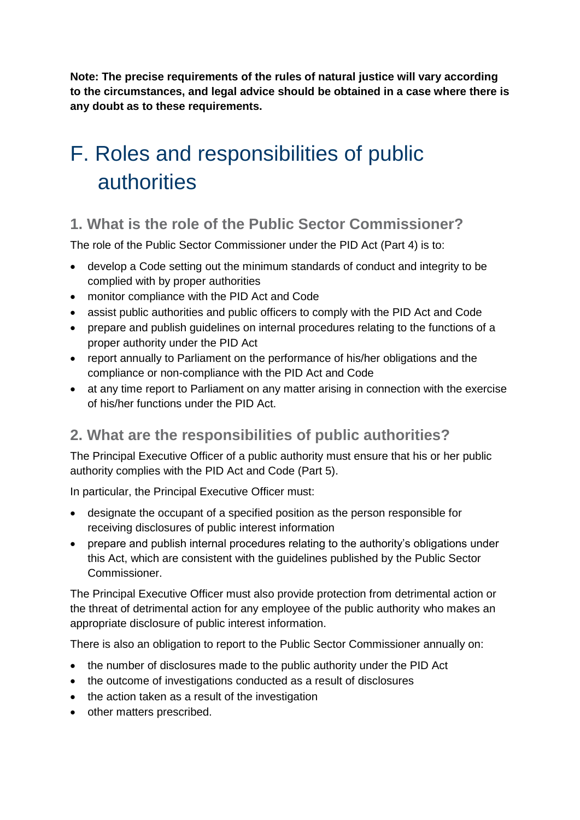**Note: The precise requirements of the rules of natural justice will vary according to the circumstances, and legal advice should be obtained in a case where there is any doubt as to these requirements.**

# <span id="page-16-0"></span>F. Roles and responsibilities of public authorities

## <span id="page-16-1"></span>**1. What is the role of the Public Sector Commissioner?**

The role of the Public Sector Commissioner under the PID Act (Part 4) is to:

- develop a Code setting out the minimum standards of conduct and integrity to be complied with by proper authorities
- monitor compliance with the PID Act and Code
- assist public authorities and public officers to comply with the PID Act and Code
- prepare and publish quidelines on internal procedures relating to the functions of a proper authority under the PID Act
- report annually to Parliament on the performance of his/her obligations and the compliance or non-compliance with the PID Act and Code
- at any time report to Parliament on any matter arising in connection with the exercise of his/her functions under the PID Act.

## <span id="page-16-2"></span>**2. What are the responsibilities of public authorities?**

The Principal Executive Officer of a public authority must ensure that his or her public authority complies with the PID Act and Code (Part 5).

In particular, the Principal Executive Officer must:

- designate the occupant of a specified position as the person responsible for receiving disclosures of public interest information
- prepare and publish internal procedures relating to the authority's obligations under this Act, which are consistent with the guidelines published by the Public Sector Commissioner.

The Principal Executive Officer must also provide protection from detrimental action or the threat of detrimental action for any employee of the public authority who makes an appropriate disclosure of public interest information.

There is also an obligation to report to the Public Sector Commissioner annually on:

- the number of disclosures made to the public authority under the PID Act
- the outcome of investigations conducted as a result of disclosures
- the action taken as a result of the investigation
- other matters prescribed.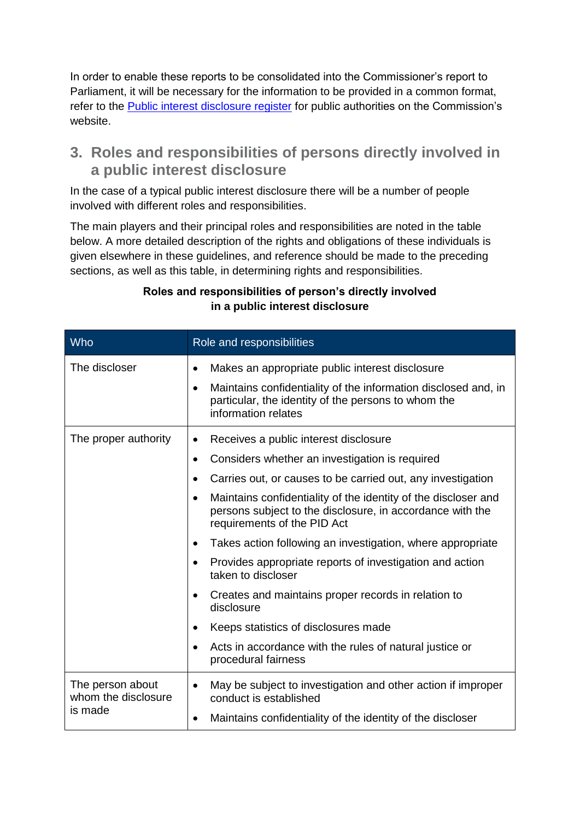In order to enable these reports to be consolidated into the Commissioner's report to Parliament, it will be necessary for the information to be provided in a common format, refer to the **Public interest disclosure register** for public authorities on the Commission's website.

### <span id="page-17-0"></span>**3. Roles and responsibilities of persons directly involved in a public interest disclosure**

In the case of a typical public interest disclosure there will be a number of people involved with different roles and responsibilities.

The main players and their principal roles and responsibilities are noted in the table below. A more detailed description of the rights and obligations of these individuals is given elsewhere in these guidelines, and reference should be made to the preceding sections, as well as this table, in determining rights and responsibilities.

| Who                                                | Role and responsibilities                                                                                                                                                                                                                                                                                                                                                                                                                                                                                                                                                                                                                                                                                            |
|----------------------------------------------------|----------------------------------------------------------------------------------------------------------------------------------------------------------------------------------------------------------------------------------------------------------------------------------------------------------------------------------------------------------------------------------------------------------------------------------------------------------------------------------------------------------------------------------------------------------------------------------------------------------------------------------------------------------------------------------------------------------------------|
| The discloser                                      | Makes an appropriate public interest disclosure<br>$\bullet$<br>Maintains confidentiality of the information disclosed and, in<br>$\bullet$<br>particular, the identity of the persons to whom the<br>information relates                                                                                                                                                                                                                                                                                                                                                                                                                                                                                            |
| The proper authority                               | Receives a public interest disclosure<br>$\bullet$<br>Considers whether an investigation is required<br>$\bullet$<br>Carries out, or causes to be carried out, any investigation<br>Maintains confidentiality of the identity of the discloser and<br>$\bullet$<br>persons subject to the disclosure, in accordance with the<br>requirements of the PID Act<br>Takes action following an investigation, where appropriate<br>٠<br>Provides appropriate reports of investigation and action<br>taken to discloser<br>Creates and maintains proper records in relation to<br>disclosure<br>Keeps statistics of disclosures made<br>٠<br>Acts in accordance with the rules of natural justice or<br>procedural fairness |
| The person about<br>whom the disclosure<br>is made | May be subject to investigation and other action if improper<br>$\bullet$<br>conduct is established<br>Maintains confidentiality of the identity of the discloser                                                                                                                                                                                                                                                                                                                                                                                                                                                                                                                                                    |

#### **Roles and responsibilities of person's directly involved in a public interest disclosure**